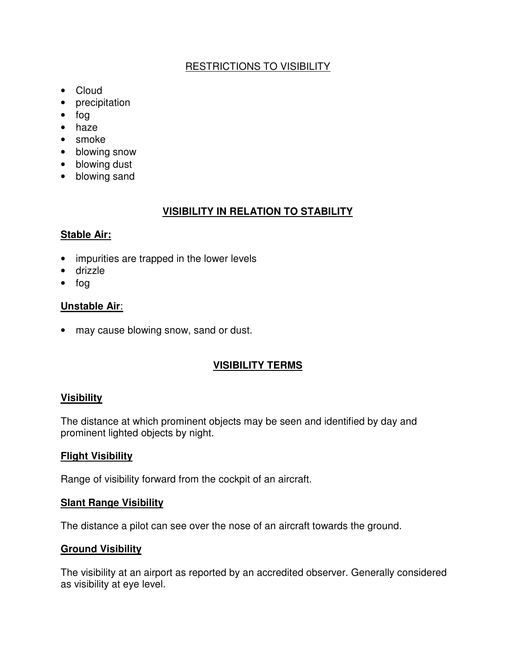# RESTRICTIONS TO VISIBILITY

- Cloud
- precipitation
- fog
- haze
- smoke
- blowing snow
- blowing dust
- blowing sand

# **VISIBILITY IN RELATION TO STABILITY**

# **Stable Air:**

- impurities are trapped in the lower levels
- drizzle
- fog

# **Unstable Air**:

• may cause blowing snow, sand or dust.

# **VISIBILITY TERMS**

# **Visibility**

The distance at which prominent objects may be seen and identified by day and prominent lighted objects by night.

## **Flight Visibility**

Range of visibility forward from the cockpit of an aircraft.

## **Slant Range Visibility**

The distance a pilot can see over the nose of an aircraft towards the ground.

## **Ground Visibility**

The visibility at an airport as reported by an accredited observer. Generally considered as visibility at eye level.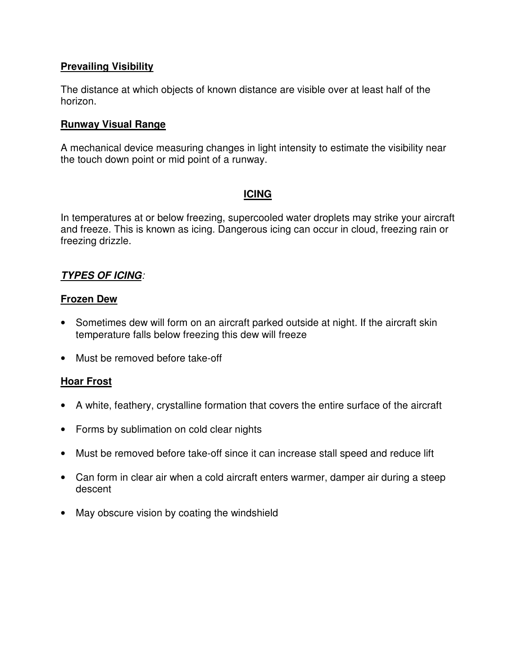#### **Prevailing Visibility**

The distance at which objects of known distance are visible over at least half of the horizon.

#### **Runway Visual Range**

A mechanical device measuring changes in light intensity to estimate the visibility near the touch down point or mid point of a runway.

# **ICING**

In temperatures at or below freezing, supercooled water droplets may strike your aircraft and freeze. This is known as icing. Dangerous icing can occur in cloud, freezing rain or freezing drizzle.

## **TYPES OF ICING**:

#### **Frozen Dew**

- Sometimes dew will form on an aircraft parked outside at night. If the aircraft skin temperature falls below freezing this dew will freeze
- Must be removed before take-off

## **Hoar Frost**

- A white, feathery, crystalline formation that covers the entire surface of the aircraft
- Forms by sublimation on cold clear nights
- Must be removed before take-off since it can increase stall speed and reduce lift
- Can form in clear air when a cold aircraft enters warmer, damper air during a steep descent
- May obscure vision by coating the windshield